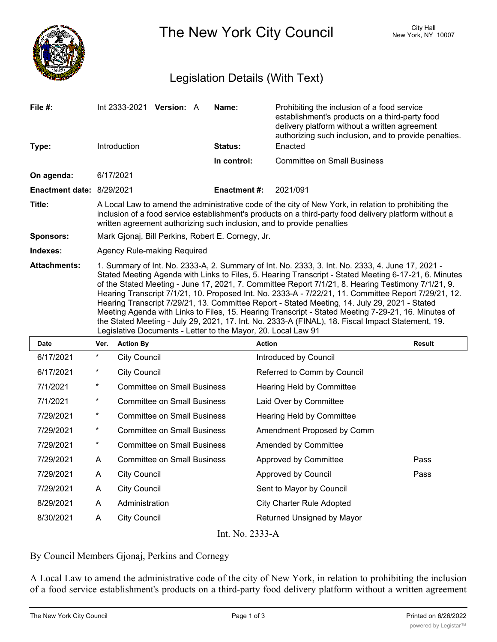

The New York City Council New York, NY 10007

## Legislation Details (With Text)

| File #:<br>Type:          | Int $2333-2021$ Version: A<br><b>Introduction</b>                                                                                                                                                                                                                                                                                                                                                                                                                                                                                                                                                                                                                                                                                                                                                     | Name:<br><b>Status:</b> | Prohibiting the inclusion of a food service<br>establishment's products on a third-party food<br>delivery platform without a written agreement<br>authorizing such inclusion, and to provide penalties.<br>Enacted |  |  |
|---------------------------|-------------------------------------------------------------------------------------------------------------------------------------------------------------------------------------------------------------------------------------------------------------------------------------------------------------------------------------------------------------------------------------------------------------------------------------------------------------------------------------------------------------------------------------------------------------------------------------------------------------------------------------------------------------------------------------------------------------------------------------------------------------------------------------------------------|-------------------------|--------------------------------------------------------------------------------------------------------------------------------------------------------------------------------------------------------------------|--|--|
|                           |                                                                                                                                                                                                                                                                                                                                                                                                                                                                                                                                                                                                                                                                                                                                                                                                       |                         |                                                                                                                                                                                                                    |  |  |
|                           |                                                                                                                                                                                                                                                                                                                                                                                                                                                                                                                                                                                                                                                                                                                                                                                                       | In control:             | <b>Committee on Small Business</b>                                                                                                                                                                                 |  |  |
| On agenda:                | 6/17/2021                                                                                                                                                                                                                                                                                                                                                                                                                                                                                                                                                                                                                                                                                                                                                                                             |                         |                                                                                                                                                                                                                    |  |  |
| Enactment date: 8/29/2021 |                                                                                                                                                                                                                                                                                                                                                                                                                                                                                                                                                                                                                                                                                                                                                                                                       | <b>Enactment #:</b>     | 2021/091                                                                                                                                                                                                           |  |  |
| Title:                    | A Local Law to amend the administrative code of the city of New York, in relation to prohibiting the<br>inclusion of a food service establishment's products on a third-party food delivery platform without a<br>written agreement authorizing such inclusion, and to provide penalties                                                                                                                                                                                                                                                                                                                                                                                                                                                                                                              |                         |                                                                                                                                                                                                                    |  |  |
| <b>Sponsors:</b>          | Mark Gjonaj, Bill Perkins, Robert E. Cornegy, Jr.                                                                                                                                                                                                                                                                                                                                                                                                                                                                                                                                                                                                                                                                                                                                                     |                         |                                                                                                                                                                                                                    |  |  |
| Indexes:                  | Agency Rule-making Required                                                                                                                                                                                                                                                                                                                                                                                                                                                                                                                                                                                                                                                                                                                                                                           |                         |                                                                                                                                                                                                                    |  |  |
| <b>Attachments:</b>       | 1. Summary of Int. No. 2333-A, 2. Summary of Int. No. 2333, 3. Int. No. 2333, 4. June 17, 2021 -<br>Stated Meeting Agenda with Links to Files, 5. Hearing Transcript - Stated Meeting 6-17-21, 6. Minutes<br>of the Stated Meeting - June 17, 2021, 7. Committee Report 7/1/21, 8. Hearing Testimony 7/1/21, 9.<br>Hearing Transcript 7/1/21, 10. Proposed Int. No. 2333-A - 7/22/21, 11. Committee Report 7/29/21, 12.<br>Hearing Transcript 7/29/21, 13. Committee Report - Stated Meeting, 14. July 29, 2021 - Stated<br>Meeting Agenda with Links to Files, 15. Hearing Transcript - Stated Meeting 7-29-21, 16. Minutes of<br>the Stated Meeting - July 29, 2021, 17. Int. No. 2333-A (FINAL), 18. Fiscal Impact Statement, 19.<br>Legislative Documents - Letter to the Mayor, 20. Local Law 91 |                         |                                                                                                                                                                                                                    |  |  |

| Date                                       | Ver.     | <b>Action By</b>                   | <b>Action</b>               | <b>Result</b> |  |
|--------------------------------------------|----------|------------------------------------|-----------------------------|---------------|--|
| 6/17/2021                                  | $^\star$ | <b>City Council</b>                | Introduced by Council       |               |  |
| 6/17/2021                                  | $\ast$   | <b>City Council</b>                | Referred to Comm by Council |               |  |
| 7/1/2021                                   | $^\ast$  | <b>Committee on Small Business</b> | Hearing Held by Committee   |               |  |
| 7/1/2021                                   | $^\ast$  | <b>Committee on Small Business</b> | Laid Over by Committee      |               |  |
| 7/29/2021                                  | $\ast$   | <b>Committee on Small Business</b> | Hearing Held by Committee   |               |  |
| 7/29/2021                                  | $\ast$   | <b>Committee on Small Business</b> | Amendment Proposed by Comm  |               |  |
| 7/29/2021                                  | $^\ast$  | <b>Committee on Small Business</b> | Amended by Committee        |               |  |
| 7/29/2021                                  | A        | <b>Committee on Small Business</b> | Approved by Committee       | Pass          |  |
| 7/29/2021                                  | A        | <b>City Council</b>                | Approved by Council         | Pass          |  |
| 7/29/2021                                  | A        | <b>City Council</b>                | Sent to Mayor by Council    |               |  |
| 8/29/2021                                  | A        | Administration                     | City Charter Rule Adopted   |               |  |
| 8/30/2021                                  | A        | <b>City Council</b>                | Returned Unsigned by Mayor  |               |  |
| <b>T.P.</b><br>$\sim$ $\sim$ $\sim$ $\sim$ |          |                                    |                             |               |  |

Int. No. 2333-A

By Council Members Gjonaj, Perkins and Cornegy

A Local Law to amend the administrative code of the city of New York, in relation to prohibiting the inclusion of a food service establishment's products on a third-party food delivery platform without a written agreement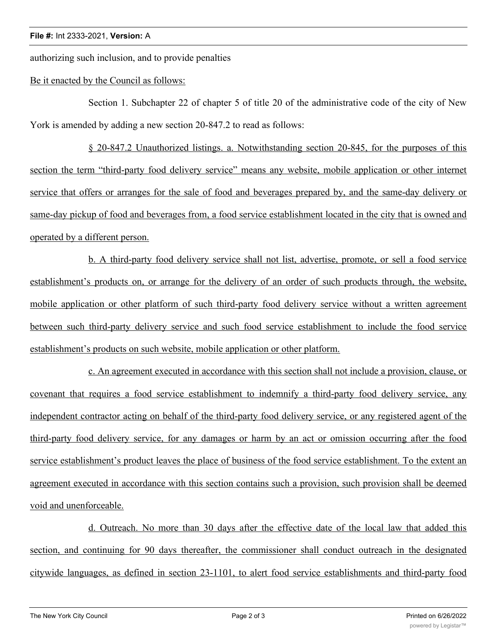authorizing such inclusion, and to provide penalties

Be it enacted by the Council as follows:

Section 1. Subchapter 22 of chapter 5 of title 20 of the administrative code of the city of New York is amended by adding a new section 20-847.2 to read as follows:

§ 20-847.2 Unauthorized listings. a. Notwithstanding section 20-845, for the purposes of this section the term "third-party food delivery service" means any website, mobile application or other internet service that offers or arranges for the sale of food and beverages prepared by, and the same-day delivery or same-day pickup of food and beverages from, a food service establishment located in the city that is owned and operated by a different person.

b. A third-party food delivery service shall not list, advertise, promote, or sell a food service establishment's products on, or arrange for the delivery of an order of such products through, the website, mobile application or other platform of such third-party food delivery service without a written agreement between such third-party delivery service and such food service establishment to include the food service establishment's products on such website, mobile application or other platform.

c. An agreement executed in accordance with this section shall not include a provision, clause, or covenant that requires a food service establishment to indemnify a third-party food delivery service, any independent contractor acting on behalf of the third-party food delivery service, or any registered agent of the third-party food delivery service, for any damages or harm by an act or omission occurring after the food service establishment's product leaves the place of business of the food service establishment. To the extent an agreement executed in accordance with this section contains such a provision, such provision shall be deemed void and unenforceable.

d. Outreach. No more than 30 days after the effective date of the local law that added this section, and continuing for 90 days thereafter, the commissioner shall conduct outreach in the designated citywide languages, as defined in section 23-1101, to alert food service establishments and third-party food